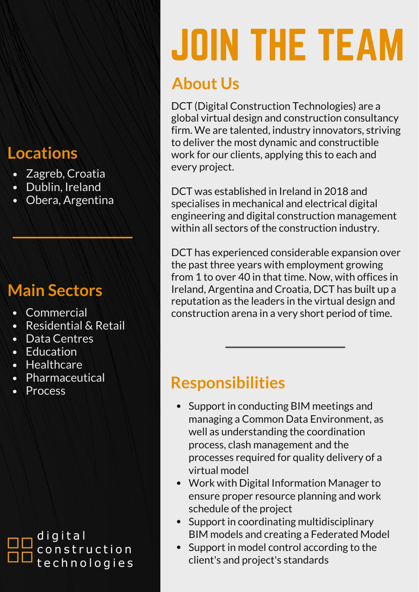### **Locations**

- Zagreb, Croatia
- Dublin, Ireland
- Obera, Argentina

## **Main Sectors**

- Commercial
- Residential & Retail
- Data Centres
- Education
- Healthcare
- Pharmaceutical
- **Process**

**Responsibilities**

- Support in conducting BIM meetings and  $\bullet$ managing a Common Data Environment, as well as understanding the coordination process, clash management and the processes required for quality delivery of a virtual model
- Work with Digital Information Manager to ensure proper resource planning and work schedule of the project
- Support in coordinating multidisciplinary BIM models and creating a Federated Model
- Support in model control according to the  $\bullet$ client's and project's standards

# JOIN THE TEAM

# **About Us**

DCT (Digital Construction Technologies) are a global virtual design and construction consultancy firm. We are talented, industry innovators, striving to deliver the most dynamic and constructible work for our clients, applying this to each and every project.

DCT was established in Ireland in 2018 and specialises in mechanical and electrical digital engineering and digital construction management within all sectors of the construction industry.

DCT has experienced considerable expansion over the past three years with employment growing from 1 to over 40 in that time. Now, with offices in Ireland, Argentina and Croatia, DCT has built up a reputation as the leaders in the virtual design and construction arena in a very short period of time.

#### digital construction technologies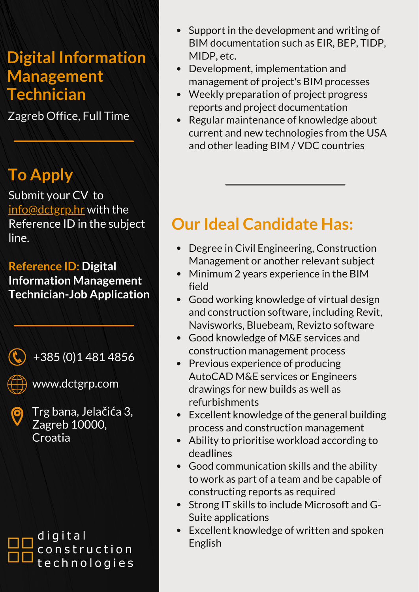#### **Digital Information Management Technician**

Zagreb Office, Full Time

# **To Apply**

Submit your CV to [info@dctgrp.hr](mailto:info@dctgrp.com) with the Reference ID in the subject line.

**Reference ID: Digital Information Management Technician-Job Application**

+385 (0)1 481 4856



www.dctgrp.com

Trg bana, Jelačića 3, Zagreb 10000, **Croatia** 

digital construction technologies

- Support in the development and writing of  $\bullet$ BIM documentation such as EIR, BEP, TIDP, MIDP, etc.
- Development, implementation and management of project's BIM processes
- Weekly preparation of project progress reports and project documentation
- Regular maintenance of knowledge about current and new technologies from the USA and other leading BIM / VDC countries

# **Our Ideal Candidate Has:**

- Degree in Civil Engineering, Construction Management or another relevant subject
- Minimum 2 years experience in the BIM field
- Good working knowledge of virtual design and construction software, including Revit, Navisworks, Bluebeam, Revizto software
- Good knowledge of M&E services and construction management process
- Previous experience of producing AutoCAD M&E services or Engineers drawings for new builds as well as refurbishments
- Excellent knowledge of the general building process and construction management
- Ability to prioritise workload according to deadlines
- Good communication skills and the ability to work as part of a team and be capable of constructing reports as required
- Strong IT skills to include Microsoft and G-Suite applications
- Excellent knowledge of written and spoken English